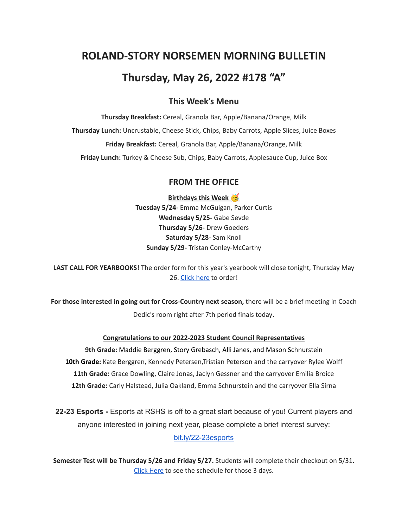# **ROLAND-STORY NORSEMEN MORNING BULLETIN**

# **Thursday, May 26, 2022 #178 "A"**

# **This Week's Menu**

**Thursday Breakfast:** Cereal, Granola Bar, Apple/Banana/Orange, Milk **Thursday Lunch:** Uncrustable, Cheese Stick, Chips, Baby Carrots, Apple Slices, Juice Boxes **Friday Breakfast:** Cereal, Granola Bar, Apple/Banana/Orange, Milk **Friday Lunch:** Turkey & Cheese Sub, Chips, Baby Carrots, Applesauce Cup, Juice Box

### **FROM THE OFFICE**

**Birthdays this Week Tuesday 5/24-** Emma McGuigan, Parker Curtis **Wednesday 5/25-** Gabe Sevde **Thursday 5/26-** Drew Goeders **Saturday 5/28-** Sam Knoll **Sunday 5/29-** Tristan Conley-McCarthy

**LAST CALL FOR YEARBOOKS!** The order form for this year's yearbook will close tonight, Thursday May 26. [Click](https://www.jostens.com/apps/store/productBrowse/1071314/ROLAND-STORY-HIGH-SCHOOL/2022-Yearbook/2022021204155696382/CATALOG_SHOP) here to order!

**For those interested in going out for Cross-Country next season,** there will be a brief meeting in Coach Dedic's room right after 7th period finals today.

#### **Congratulations to our 2022-2023 Student Council Representatives**

**9th Grade:** Maddie Berggren, Story Grebasch, Alli Janes, and Mason Schnurstein **10th Grade:** Kate Berggren, Kennedy Petersen,Tristian Peterson and the carryover Rylee Wolff **11th Grade:** Grace Dowling, Claire Jonas, Jaclyn Gessner and the carryover Emilia Broice **12th Grade:** Carly Halstead, Julia Oakland, Emma Schnurstein and the carryover Ella Sirna

**22-23 Esports -** Esports at RSHS is off to a great start because of you! Current players and anyone interested in joining next year, please complete a brief interest survey: [bit.ly/22-23esports](http://bit.ly/22-23esports)

**Semester Test will be Thursday 5/26 and Friday 5/27.** Students will complete their checkout on 5/31. Click [Here](https://drive.google.com/file/d/1f_W_f9rcsywnweiwi6fCuPDOMZBp9ou-/view?usp=sharing) to see the schedule for those 3 days.